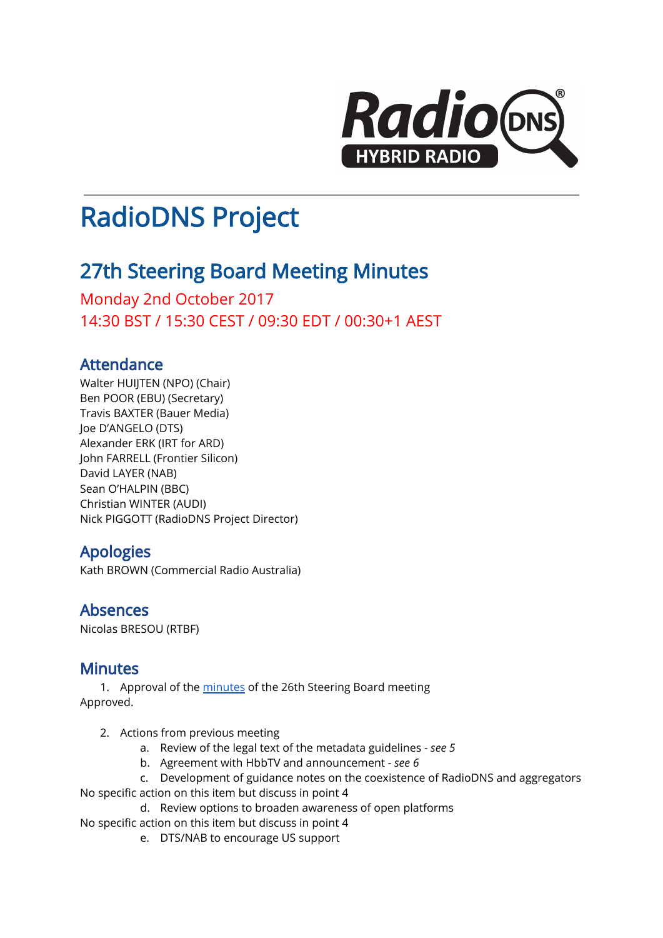

# RadioDNS Project

# 27th Steering Board Meeting Minutes

Monday 2nd October 2017 14:30 BST / 15:30 CEST / 09:30 EDT / 00:30+1 AEST

# Attendance

Walter HUIJTEN (NPO) (Chair) Ben POOR (EBU) (Secretary) Travis BAXTER (Bauer Media) Joe D'ANGELO (DTS) Alexander ERK (IRT for ARD) John FARRELL (Frontier Silicon) David LAYER (NAB) Sean O'HALPIN (BBC) Christian WINTER (AUDI) Nick PIGGOTT (RadioDNS Project Director)

# Apologies

Kath BROWN (Commercial Radio Australia)

### Absences

Nicolas BRESOU (RTBF)

# Minutes

1. Approval of the [minutes](https://docs.google.com/document/d/1xAUljfGmWb99K1CExP07YzxSz0tVPSjvAX8GCX1F3-A/edit) of the 26th Steering Board meeting Approved.

- 2. Actions from previous meeting
	- a. Review of the legal text of the metadata guidelines *- see 5*
	- b. Agreement with HbbTV and announcement *- see 6*
	- c. Development of guidance notes on the coexistence of RadioDNS and aggregators
- No specific action on this item but discuss in point 4
	- d. Review options to broaden awareness of open platforms

No specific action on this item but discuss in point 4

e. DTS/NAB to encourage US support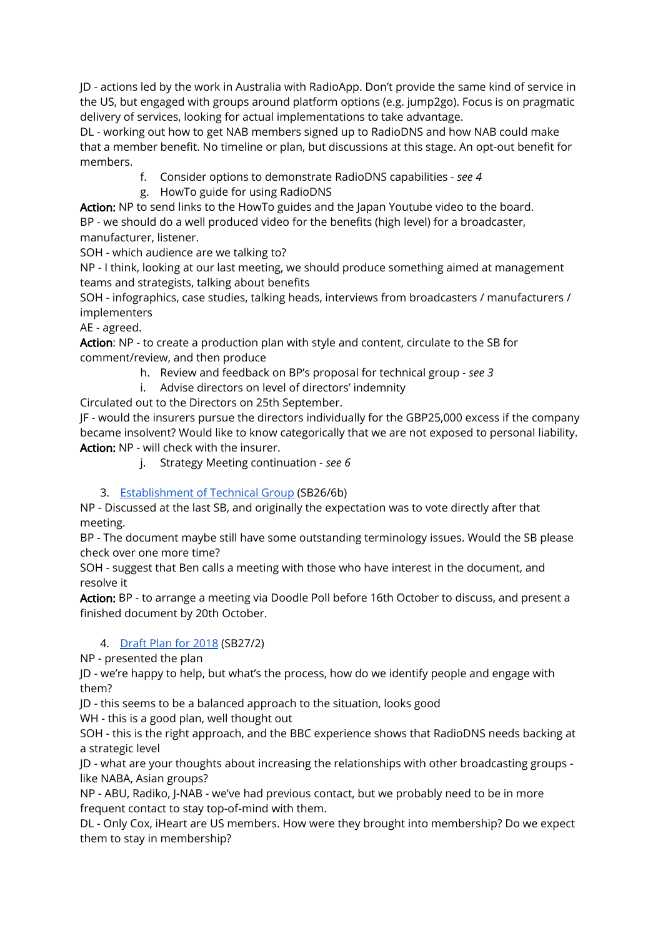JD - actions led by the work in Australia with RadioApp. Don't provide the same kind of service in the US, but engaged with groups around platform options (e.g. jump2go). Focus is on pragmatic delivery of services, looking for actual implementations to take advantage.

DL - working out how to get NAB members signed up to RadioDNS and how NAB could make that a member benefit. No timeline or plan, but discussions at this stage. An opt-out benefit for members.

- f. Consider options to demonstrate RadioDNS capabilities *- see 4*
- g. HowTo guide for using RadioDNS

Action: NP to send links to the HowTo guides and the Japan Youtube video to the board. BP - we should do a well produced video for the benefits (high level) for a broadcaster, manufacturer, listener.

SOH - which audience are we talking to?

NP - I think, looking at our last meeting, we should produce something aimed at management teams and strategists, talking about benefits

SOH - infographics, case studies, talking heads, interviews from broadcasters / manufacturers / implementers

AE - agreed.

Action: NP - to create a production plan with style and content, circulate to the SB for comment/review, and then produce

- h. Review and feedback on BP's proposal for technical group *- see 3*
- i. Advise directors on level of directors' indemnity

Circulated out to the Directors on 25th September.

JF - would the insurers pursue the directors individually for the GBP25,000 excess if the company became insolvent? Would like to know categorically that we are not exposed to personal liability. Action: NP - will check with the insurer.

j. Strategy Meeting continuation - *see 6*

#### 3. [Establishment](https://docs.google.com/document/d/12wF75J5KNbmcr7neuh72wE6m4mXZK0_7baifkzC_z7Q/edit#heading=h.mzp9t6cyegz2) of Technical Group (SB26/6b)

NP - Discussed at the last SB, and originally the expectation was to vote directly after that meeting.

BP - The document maybe still have some outstanding terminology issues. Would the SB please check over one more time?

SOH - suggest that Ben calls a meeting with those who have interest in the document, and resolve it

Action: BP - to arrange a meeting via Doodle Poll before 16th October to discuss, and present a finished document by 20th October.

#### 4. [Draft](https://drive.google.com/open?id=1tLL4dh6BfLmgYOtKIDMIJvynQ6d9B42ACCgjaNW1t_8) Plan for 2018 (SB27/2)

NP - presented the plan

JD - we're happy to help, but what's the process, how do we identify people and engage with them?

JD - this seems to be a balanced approach to the situation, looks good

WH - this is a good plan, well thought out

SOH - this is the right approach, and the BBC experience shows that RadioDNS needs backing at a strategic level

JD - what are your thoughts about increasing the relationships with other broadcasting groups like NABA, Asian groups?

NP - ABU, Radiko, J-NAB - we've had previous contact, but we probably need to be in more frequent contact to stay top-of-mind with them.

DL - Only Cox, iHeart are US members. How were they brought into membership? Do we expect them to stay in membership?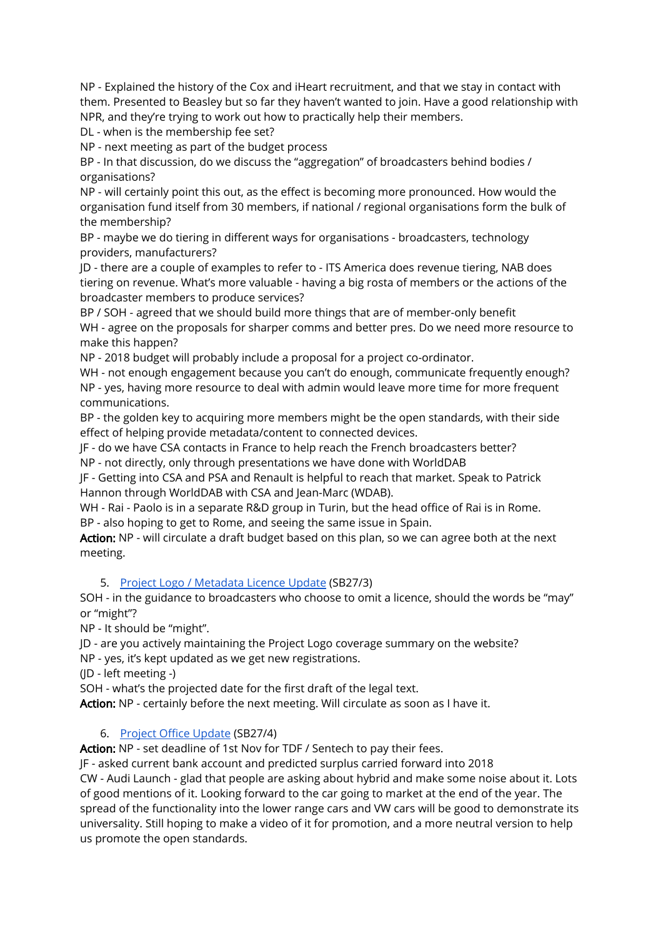NP - Explained the history of the Cox and iHeart recruitment, and that we stay in contact with them. Presented to Beasley but so far they haven't wanted to join. Have a good relationship with NPR, and they're trying to work out how to practically help their members.

DL - when is the membership fee set?

NP - next meeting as part of the budget process

BP - In that discussion, do we discuss the "aggregation" of broadcasters behind bodies / organisations?

NP - will certainly point this out, as the effect is becoming more pronounced. How would the organisation fund itself from 30 members, if national / regional organisations form the bulk of the membership?

BP - maybe we do tiering in different ways for organisations - broadcasters, technology providers, manufacturers?

JD - there are a couple of examples to refer to - ITS America does revenue tiering, NAB does tiering on revenue. What's more valuable - having a big rosta of members or the actions of the broadcaster members to produce services?

BP / SOH - agreed that we should build more things that are of member-only benefit WH - agree on the proposals for sharper comms and better pres. Do we need more resource to make this happen?

NP - 2018 budget will probably include a proposal for a project co-ordinator.

WH - not enough engagement because you can't do enough, communicate frequently enough? NP - yes, having more resource to deal with admin would leave more time for more frequent communications.

BP - the golden key to acquiring more members might be the open standards, with their side effect of helping provide metadata/content to connected devices.

JF - do we have CSA contacts in France to help reach the French broadcasters better? NP - not directly, only through presentations we have done with WorldDAB

JF - Getting into CSA and PSA and Renault is helpful to reach that market. Speak to Patrick Hannon through WorldDAB with CSA and Jean-Marc (WDAB).

WH - Rai - Paolo is in a separate R&D group in Turin, but the head office of Rai is in Rome. BP - also hoping to get to Rome, and seeing the same issue in Spain.

Action: NP - will circulate a draft budget based on this plan, so we can agree both at the next meeting.

#### 5. Project Logo / [Metadata](https://docs.google.com/document/d/1ugDdy_g1jlu3HRC4uUXTW1lNbNEovpeuyYuuVZbXwcs/edit#) Licence Update (SB27/3)

SOH - in the guidance to broadcasters who choose to omit a licence, should the words be "may" or "might"?

NP - It should be "might".

JD - are you actively maintaining the Project Logo coverage summary on the website?

NP - yes, it's kept updated as we get new registrations.

(JD - left meeting -)

SOH - what's the projected date for the first draft of the legal text.

Action: NP - certainly before the next meeting. Will circulate as soon as I have it.

#### 6. Project Office [Update](https://docs.google.com/document/d/1uDY-2Jz1CSugayf79rc8QlaFm9YhsEoJpPCjf7NJsHM/edit#) (SB27/4)

Action: NP - set deadline of 1st Nov for TDF / Sentech to pay their fees.

JF - asked current bank account and predicted surplus carried forward into 2018 CW - Audi Launch - glad that people are asking about hybrid and make some noise about it. Lots of good mentions of it. Looking forward to the car going to market at the end of the year. The spread of the functionality into the lower range cars and VW cars will be good to demonstrate its universality. Still hoping to make a video of it for promotion, and a more neutral version to help us promote the open standards.